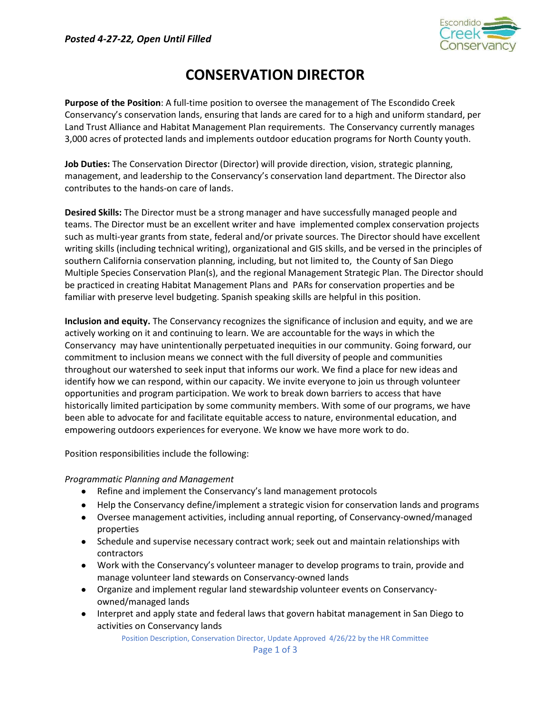

# CONSERVATION DIRECTOR

Purpose of the Position: A full-time position to oversee the management of The Escondido Creek Conservancy's conservation lands, ensuring that lands are cared for to a high and uniform standard, per Land Trust Alliance and Habitat Management Plan requirements. The Conservancy currently manages 3,000 acres of protected lands and implements outdoor education programs for North County youth.

Job Duties: The Conservation Director (Director) will provide direction, vision, strategic planning, management, and leadership to the Conservancy's conservation land department. The Director also contributes to the hands-on care of lands.

Desired Skills: The Director must be a strong manager and have successfully managed people and teams. The Director must be an excellent writer and have implemented complex conservation projects such as multi-year grants from state, federal and/or private sources. The Director should have excellent writing skills (including technical writing), organizational and GIS skills, and be versed in the principles of southern California conservation planning, including, but not limited to, the County of San Diego Multiple Species Conservation Plan(s), and the regional Management Strategic Plan. The Director should be practiced in creating Habitat Management Plans and PARs for conservation properties and be familiar with preserve level budgeting. Spanish speaking skills are helpful in this position.

Inclusion and equity. The Conservancy recognizes the significance of inclusion and equity, and we are actively working on it and continuing to learn. We are accountable for the ways in which the Conservancy may have unintentionally perpetuated inequities in our community. Going forward, our commitment to inclusion means we connect with the full diversity of people and communities throughout our watershed to seek input that informs our work. We find a place for new ideas and identify how we can respond, within our capacity. We invite everyone to join us through volunteer opportunities and program participation. We work to break down barriers to access that have historically limited participation by some community members. With some of our programs, we have been able to advocate for and facilitate equitable access to nature, environmental education, and empowering outdoors experiences for everyone. We know we have more work to do.

Position responsibilities include the following:

## Programmatic Planning and Management

- Refine and implement the Conservancy's land management protocols
- Help the Conservancy define/implement a strategic vision for conservation lands and programs
- Oversee management activities, including annual reporting, of Conservancy-owned/managed properties
- Schedule and supervise necessary contract work; seek out and maintain relationships with contractors
- Work with the Conservancy's volunteer manager to develop programs to train, provide and manage volunteer land stewards on Conservancy-owned lands
- Organize and implement regular land stewardship volunteer events on Conservancyowned/managed lands
- Interpret and apply state and federal laws that govern habitat management in San Diego to activities on Conservancy lands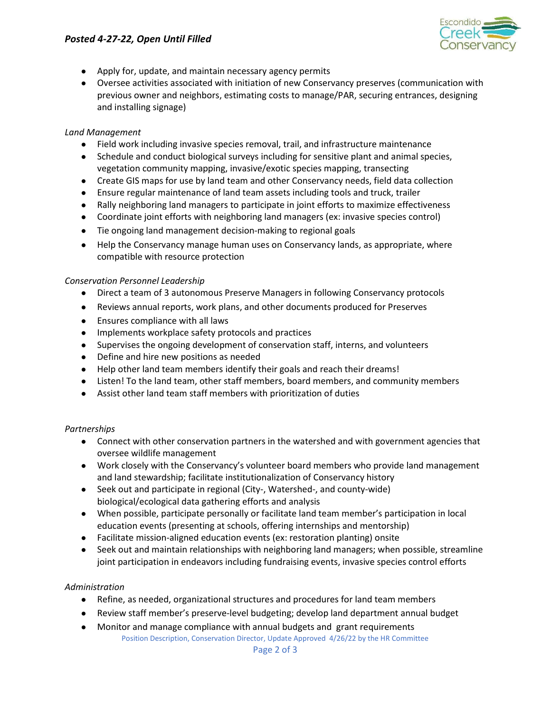# Posted 4-27-22, Open Until Filled



- Apply for, update, and maintain necessary agency permits
- Oversee activities associated with initiation of new Conservancy preserves (communication with previous owner and neighbors, estimating costs to manage/PAR, securing entrances, designing and installing signage)

#### Land Management

- Field work including invasive species removal, trail, and infrastructure maintenance
- Schedule and conduct biological surveys including for sensitive plant and animal species, vegetation community mapping, invasive/exotic species mapping, transecting
- Create GIS maps for use by land team and other Conservancy needs, field data collection
- Ensure regular maintenance of land team assets including tools and truck, trailer
- Rally neighboring land managers to participate in joint efforts to maximize effectiveness
- Coordinate joint efforts with neighboring land managers (ex: invasive species control)
- Tie ongoing land management decision-making to regional goals
- Help the Conservancy manage human uses on Conservancy lands, as appropriate, where compatible with resource protection

#### Conservation Personnel Leadership

- Direct a team of 3 autonomous Preserve Managers in following Conservancy protocols
- Reviews annual reports, work plans, and other documents produced for Preserves
- Ensures compliance with all laws
- Implements workplace safety protocols and practices
- Supervises the ongoing development of conservation staff, interns, and volunteers
- Define and hire new positions as needed
- Help other land team members identify their goals and reach their dreams!
- Listen! To the land team, other staff members, board members, and community members
- Assist other land team staff members with prioritization of duties

#### Partnerships

- Connect with other conservation partners in the watershed and with government agencies that oversee wildlife management
- Work closely with the Conservancy's volunteer board members who provide land management and land stewardship; facilitate institutionalization of Conservancy history
- Seek out and participate in regional (City-, Watershed-, and county-wide) biological/ecological data gathering efforts and analysis
- When possible, participate personally or facilitate land team member's participation in local education events (presenting at schools, offering internships and mentorship)
- Facilitate mission-aligned education events (ex: restoration planting) onsite
- Seek out and maintain relationships with neighboring land managers; when possible, streamline joint participation in endeavors including fundraising events, invasive species control efforts

#### Administration

- Refine, as needed, organizational structures and procedures for land team members
- Review staff member's preserve-level budgeting; develop land department annual budget
- Monitor and manage compliance with annual budgets and grant requirements

Position Description, Conservation Director, Update Approved 4/26/22 by the HR Committee